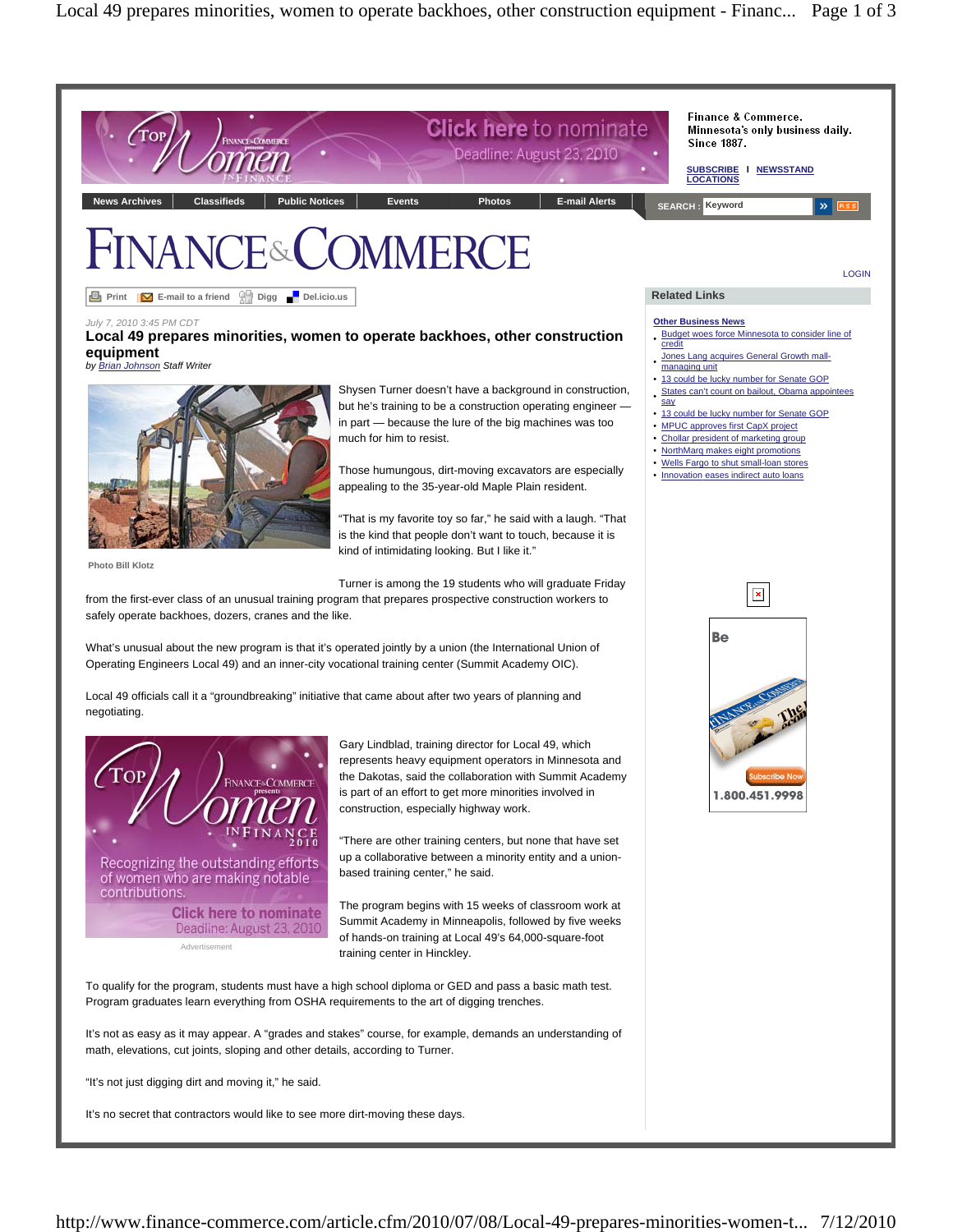

"It's not just digging dirt and moving it," he said.

It's no secret that contractors would like to see more dirt-moving these days.